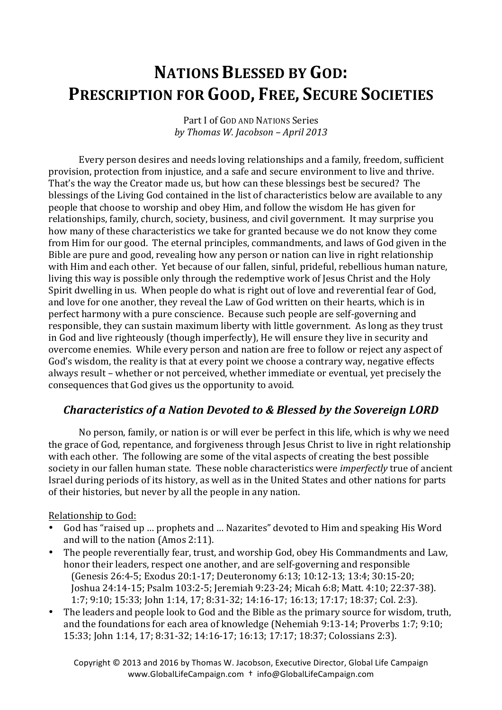# **NATIONS BLESSED BY GOD: PRESCRIPTION FOR GOOD, FREE, SECURE SOCIETIES**

Part I of GOD AND NATIONS Series *by Thomas W. Jacobson – April 2013*

Every person desires and needs loving relationships and a family, freedom, sufficient provision, protection from injustice, and a safe and secure environment to live and thrive. That's the way the Creator made us, but how can these blessings best be secured? The blessings of the Living God contained in the list of characteristics below are available to any people that choose to worship and obey Him, and follow the wisdom He has given for relationships, family, church, society, business, and civil government. It may surprise you how many of these characteristics we take for granted because we do not know they come from Him for our good. The eternal principles, commandments, and laws of God given in the Bible are pure and good, revealing how any person or nation can live in right relationship with Him and each other. Yet because of our fallen, sinful, prideful, rebellious human nature, living this way is possible only through the redemptive work of Jesus Christ and the Holy Spirit dwelling in us. When people do what is right out of love and reverential fear of God, and love for one another, they reveal the Law of God written on their hearts, which is in perfect harmony with a pure conscience. Because such people are self-governing and responsible, they can sustain maximum liberty with little government. As long as they trust in God and live righteously (though imperfectly). He will ensure they live in security and overcome enemies. While every person and nation are free to follow or reject any aspect of God's wisdom, the reality is that at every point we choose a contrary way, negative effects always result – whether or not perceived, whether immediate or eventual, yet precisely the consequences that God gives us the opportunity to avoid.

## *Characteristics of a Nation Devoted to & Blessed by the Sovereign LORD*

No person, family, or nation is or will ever be perfect in this life, which is why we need the grace of God, repentance, and forgiveness through Jesus Christ to live in right relationship with each other. The following are some of the vital aspects of creating the best possible society in our fallen human state. These noble characteristics were *imperfectly* true of ancient Israel during periods of its history, as well as in the United States and other nations for parts of their histories, but never by all the people in any nation.

#### Relationship to God:

- God has "raised up ... prophets and ... Nazarites" devoted to Him and speaking His Word and will to the nation (Amos 2:11).
- The people reverentially fear, trust, and worship God, obey His Commandments and Law, honor their leaders, respect one another, and are self-governing and responsible (Genesis 26:4-5; Exodus 20:1-17; Deuteronomy 6:13; 10:12-13; 13:4; 30:15-20; Joshua 24:14-15; Psalm 103:2-5; Jeremiah 9:23-24; Micah 6:8; Matt. 4:10; 22:37-38). 1:7; 9:10; 15:33; John 1:14, 17; 8:31-32; 14:16-17; 16:13; 17:17; 18:37; Col. 2:3).
- The leaders and people look to God and the Bible as the primary source for wisdom, truth, and the foundations for each area of knowledge (Nehemiah  $9:13-14$ ; Proverbs  $1:7:9:10$ ; 15:33; John 1:14, 17; 8:31-32; 14:16-17; 16:13; 17:17; 18:37; Colossians 2:3).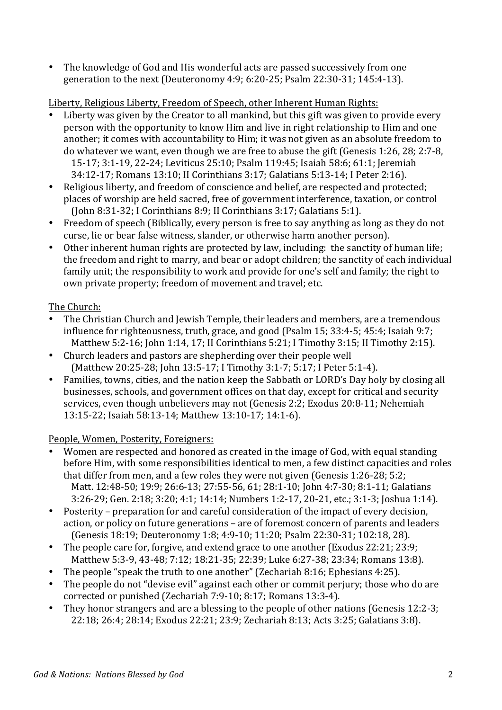• The knowledge of God and His wonderful acts are passed successively from one generation to the next (Deuteronomy 4:9; 6:20-25; Psalm 22:30-31; 145:4-13).

### Liberty, Religious Liberty, Freedom of Speech, other Inherent Human Rights:

- Liberty was given by the Creator to all mankind, but this gift was given to provide every person with the opportunity to know Him and live in right relationship to Him and one another; it comes with accountability to Him; it was not given as an absolute freedom to do whatever we want, even though we are free to abuse the gift (Genesis 1:26, 28; 2:7-8, 15-17; 3:1-19, 22-24; Leviticus 25:10; Psalm 119:45; Isaiah 58:6; 61:1; Jeremiah 34:12-17; Romans 13:10; II Corinthians 3:17; Galatians 5:13-14; I Peter 2:16).
- Religious liberty, and freedom of conscience and belief, are respected and protected; places of worship are held sacred, free of government interference, taxation, or control (John 8:31-32; I Corinthians 8:9; II Corinthians 3:17; Galatians 5:1).
- Freedom of speech (Biblically, every person is free to say anything as long as they do not curse, lie or bear false witness, slander, or otherwise harm another person).
- Other inherent human rights are protected by law, including: the sanctity of human life; the freedom and right to marry, and bear or adopt children; the sanctity of each individual family unit; the responsibility to work and provide for one's self and family; the right to own private property; freedom of movement and travel; etc.

## The Church:

- The Christian Church and Jewish Temple, their leaders and members, are a tremendous influence for righteousness, truth, grace, and good (Psalm  $15$ ;  $33:4-5$ ;  $45:4$ ; Isaiah  $9:7$ ; Matthew 5:2-16; John 1:14, 17; II Corinthians 5:21; I Timothy 3:15; II Timothy 2:15).
- Church leaders and pastors are shepherding over their people well (Matthew 20:25-28; John 13:5-17; I Timothy 3:1-7; 5:17; I Peter 5:1-4).
- Families, towns, cities, and the nation keep the Sabbath or LORD's Day holy by closing all businesses, schools, and government offices on that day, except for critical and security services, even though unbelievers may not (Genesis 2:2; Exodus 20:8-11; Nehemiah 13:15-22; Isaiah 58:13-14; Matthew 13:10-17; 14:1-6).

People, Women, Posterity, Foreigners:

- Women are respected and honored as created in the image of God, with equal standing before Him, with some responsibilities identical to men, a few distinct capacities and roles that differ from men, and a few roles they were not given (Genesis  $1:26-28$ ; 5:2; Matt. 12:48-50; 19:9; 26:6-13; 27:55-56, 61; 28:1-10; John 4:7-30; 8:1-11; Galatians 3:26-29; Gen. 2:18; 3:20; 4:1; 14:14; Numbers 1:2-17, 20-21, etc.; 3:1-3; Joshua 1:14).
- Posterity preparation for and careful consideration of the impact of every decision, action, or policy on future generations – are of foremost concern of parents and leaders (Genesis 18:19; Deuteronomy 1:8; 4:9-10; 11:20; Psalm 22:30-31; 102:18, 28).
- The people care for, forgive, and extend grace to one another (Exodus 22:21; 23:9; Matthew 5:3-9, 43-48; 7:12; 18:21-35; 22:39; Luke 6:27-38; 23:34; Romans 13:8).
- The people "speak the truth to one another" (Zechariah 8:16; Ephesians 4:25).
- The people do not "devise evil" against each other or commit perjury; those who do are corrected or punished (Zechariah 7:9-10; 8:17; Romans 13:3-4).
- They honor strangers and are a blessing to the people of other nations (Genesis 12:2-3; 22:18; 26:4; 28:14; Exodus 22:21; 23:9; Zechariah 8:13; Acts 3:25; Galatians 3:8).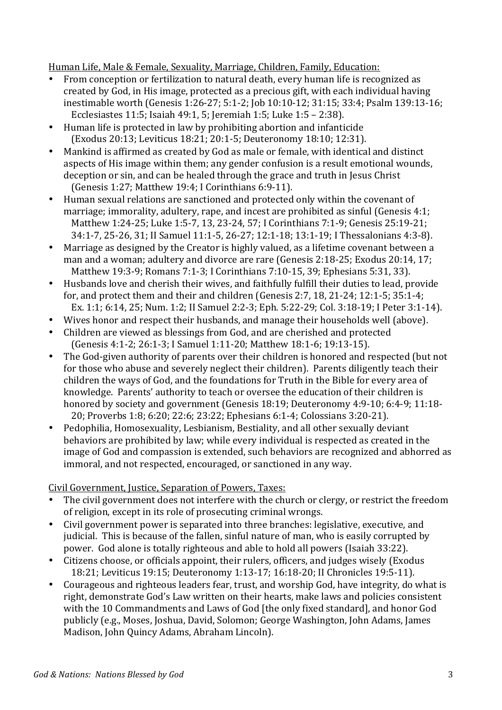Human Life, Male & Female, Sexuality, Marriage, Children, Family, Education:

- From conception or fertilization to natural death, every human life is recognized as created by God, in His image, protected as a precious gift, with each individual having inestimable worth (Genesis 1:26-27; 5:1-2; Job 10:10-12; 31:15; 33:4; Psalm 139:13-16; Ecclesiastes  $11:5$ ; Isaiah  $49:1$ ,  $5$ ; Jeremiah  $1:5$ ; Luke  $1:5 - 2:38$ ).
- Human life is protected in law by prohibiting abortion and infanticide (Exodus 20:13; Leviticus 18:21; 20:1-5; Deuteronomy 18:10; 12:31).
- Mankind is affirmed as created by God as male or female, with identical and distinct aspects of His image within them; any gender confusion is a result emotional wounds, deception or sin, and can be healed through the grace and truth in Jesus Christ (Genesis 1:27; Matthew 19:4; I Corinthians 6:9-11).
- Human sexual relations are sanctioned and protected only within the covenant of marriage; immorality, adultery, rape, and incest are prohibited as sinful (Genesis  $4:1$ ; Matthew 1:24-25; Luke 1:5-7, 13, 23-24, 57; I Corinthians 7:1-9; Genesis 25:19-21; 34:1-7, 25-26, 31; II Samuel 11:1-5, 26-27; 12:1-18; 13:1-19; I Thessalonians 4:3-8).
- Marriage as designed by the Creator is highly valued, as a lifetime covenant between a man and a woman; adultery and divorce are rare (Genesis 2:18-25; Exodus 20:14, 17; Matthew 19:3-9; Romans 7:1-3; I Corinthians 7:10-15, 39; Ephesians 5:31, 33).
- Husbands love and cherish their wives, and faithfully fulfill their duties to lead, provide for, and protect them and their and children (Genesis 2:7, 18, 21-24; 12:1-5; 35:1-4;
- Ex. 1:1; 6:14, 25; Num. 1:2; II Samuel 2:2-3; Eph. 5:22-29; Col. 3:18-19; I Peter 3:1-14). • Wives honor and respect their husbands, and manage their households well (above).
- Children are viewed as blessings from God, and are cherished and protected (Genesis 4:1-2; 26:1-3; I Samuel 1:11-20; Matthew 18:1-6; 19:13-15).
- The God-given authority of parents over their children is honored and respected (but not for those who abuse and severely neglect their children). Parents diligently teach their children the ways of God, and the foundations for Truth in the Bible for every area of knowledge. Parents' authority to teach or oversee the education of their children is honored by society and government (Genesis 18:19; Deuteronomy 4:9-10; 6:4-9; 11:18-20; Proverbs 1:8; 6:20; 22:6; 23:22; Ephesians 6:1-4; Colossians 3:20-21).
- Pedophilia, Homosexuality, Lesbianism, Bestiality, and all other sexually deviant behaviors are prohibited by law; while every individual is respected as created in the image of God and compassion is extended, such behaviors are recognized and abhorred as immoral, and not respected, encouraged, or sanctioned in any way.

Civil Government, Justice, Separation of Powers, Taxes:

- The civil government does not interfere with the church or clergy, or restrict the freedom of religion, except in its role of prosecuting criminal wrongs.
- Civil government power is separated into three branches: legislative, executive, and judicial. This is because of the fallen, sinful nature of man, who is easily corrupted by power. God alone is totally righteous and able to hold all powers (Isaiah 33:22).
- Citizens choose, or officials appoint, their rulers, officers, and judges wisely (Exodus 18:21; Leviticus 19:15; Deuteronomy 1:13-17; 16:18-20; II Chronicles 19:5-11).
- Courageous and righteous leaders fear, trust, and worship God, have integrity, do what is right, demonstrate God's Law written on their hearts, make laws and policies consistent with the 10 Commandments and Laws of God [the only fixed standard], and honor God publicly (e.g., Moses, Joshua, David, Solomon; George Washington, John Adams, James Madison, John Quincy Adams, Abraham Lincoln).